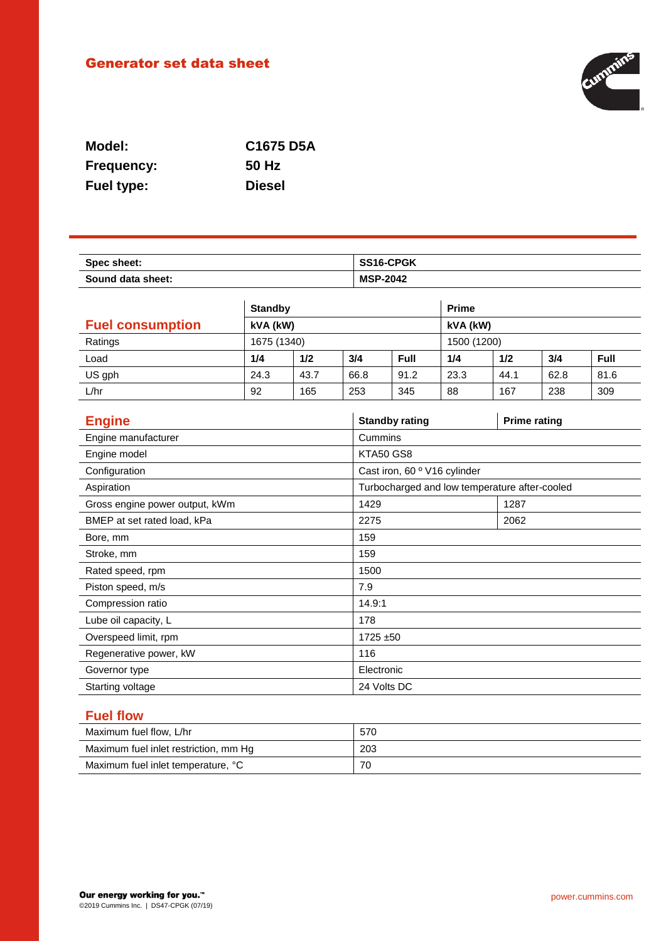# Generator set data sheet



| Model:            | C1675 D5A     |
|-------------------|---------------|
| <b>Frequency:</b> | 50 Hz         |
| <b>Fuel type:</b> | <b>Diesel</b> |

| Spec sheet:       | <b>SS16-CPGK</b> |
|-------------------|------------------|
| Sound data sheet: | <b>MSP-2042</b>  |

|                         | <b>Standby</b> |      |      | <b>Prime</b> |      |      |      |      |
|-------------------------|----------------|------|------|--------------|------|------|------|------|
| <b>Fuel consumption</b> | kVA (kW)       |      |      | kVA (kW)     |      |      |      |      |
| Ratings                 | 1675 (1340)    |      |      | 1500 (1200)  |      |      |      |      |
| Load                    | 1/4            | 1/2  | 3/4  | Full         | 1/4  | 1/2  | 3/4  | Full |
| US gph                  | 24.3           | 43.7 | 66.8 | 91.2         | 23.3 | 44.1 | 62.8 | 81.6 |
| L/hr                    | 92             | 165  | 253  | 345          | 88   | 167  | 238  | 309  |

| <b>Engine</b>                  | <b>Standby rating</b>        | <b>Prime rating</b>                           |  |
|--------------------------------|------------------------------|-----------------------------------------------|--|
| Engine manufacturer            | Cummins                      |                                               |  |
| Engine model                   | KTA50 GS8                    |                                               |  |
| Configuration                  | Cast iron, 60 º V16 cylinder |                                               |  |
| Aspiration                     |                              | Turbocharged and low temperature after-cooled |  |
| Gross engine power output, kWm | 1429                         | 1287                                          |  |
| BMEP at set rated load, kPa    | 2275                         | 2062                                          |  |
| Bore, mm                       | 159                          |                                               |  |
| Stroke, mm                     | 159                          |                                               |  |
| Rated speed, rpm               | 1500                         |                                               |  |
| Piston speed, m/s              | 7.9                          |                                               |  |
| Compression ratio              | 14.9:1                       |                                               |  |
| Lube oil capacity, L           | 178                          |                                               |  |
| Overspeed limit, rpm           | $1725 + 50$                  |                                               |  |
| Regenerative power, kW         | 116                          |                                               |  |
| Governor type                  | Electronic                   |                                               |  |
| Starting voltage               | 24 Volts DC                  |                                               |  |

## **Fuel flow**

| Maximum fuel flow, L/hr               | 570 |
|---------------------------------------|-----|
| Maximum fuel inlet restriction, mm Hg | 203 |
| Maximum fuel inlet temperature, °C    | 70  |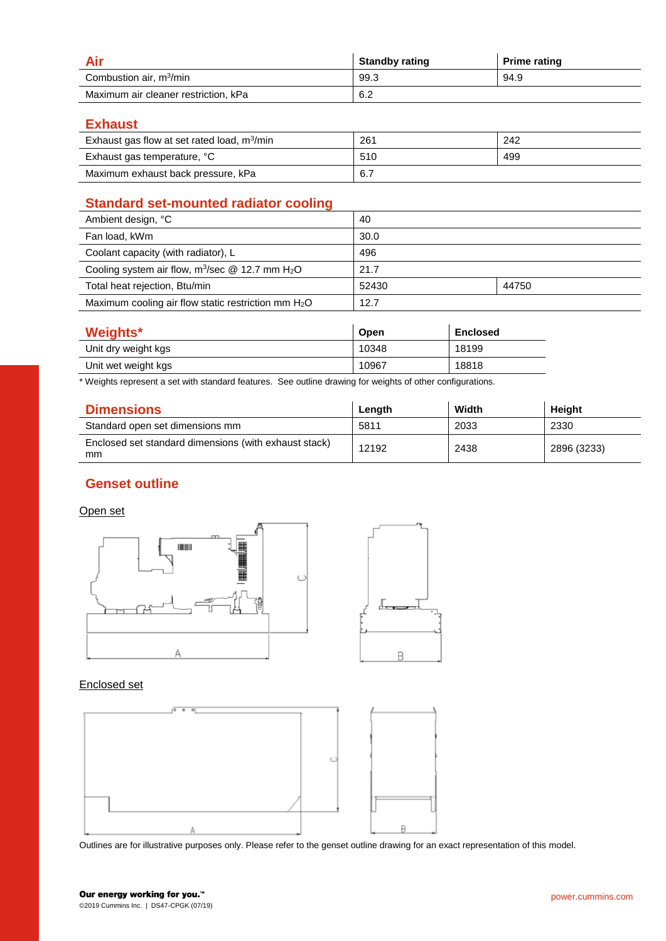|                                      | <b>Standby rating</b> | <b>Prime rating</b> |
|--------------------------------------|-----------------------|---------------------|
| Combustion air, m <sup>3</sup> /min  | 99.3                  | 94.9                |
| Maximum air cleaner restriction, kPa | 6.2                   |                     |

**Exhaust**

| Exhaust gas flow at set rated load, $m^3/m$ in | 261 | 242 |
|------------------------------------------------|-----|-----|
| Exhaust gas temperature, °C                    | 510 | 499 |
| Maximum exhaust back pressure, kPa             | 6.7 |     |

## **Standard set-mounted radiator cooling**

| Ambient design, °C                                              | 40    |       |
|-----------------------------------------------------------------|-------|-------|
| Fan load, kWm                                                   | 30.0  |       |
| Coolant capacity (with radiator), L                             | 496   |       |
| Cooling system air flow, $m^3$ /sec @ 12.7 mm H <sub>2</sub> O  | 21.7  |       |
| Total heat rejection, Btu/min                                   | 52430 | 44750 |
| Maximum cooling air flow static restriction mm H <sub>2</sub> O | 12.7  |       |

| Weights*            | Open  | <b>Enclosed</b> |
|---------------------|-------|-----------------|
| Unit dry weight kgs | 10348 | 18199           |
| Unit wet weight kgs | 10967 | 18818           |

\* Weights represent a set with standard features. See outline drawing for weights of other configurations.

| <b>Dimensions</b>                                           | Length | Width | Heiaht      |
|-------------------------------------------------------------|--------|-------|-------------|
| Standard open set dimensions mm                             | 5811   | 2033  | 2330        |
| Enclosed set standard dimensions (with exhaust stack)<br>mm | 12192  | 2438  | 2896 (3233) |

## **Genset outline**

#### Open set



#### Enclosed set



Outlines are for illustrative purposes only. Please refer to the genset outline drawing for an exact representation of this model.